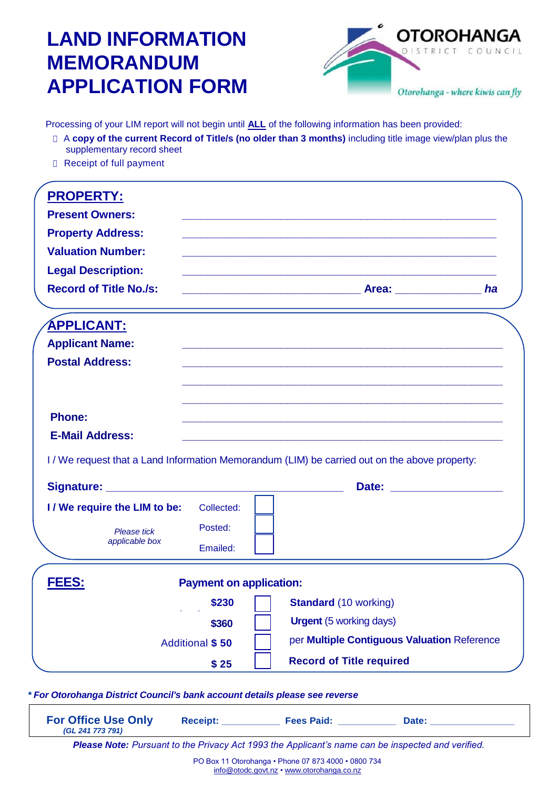# **LAND INFORMATION MEMORANDUM APPLICATION FORM**



Processing of your LIM report will not begin until **ALL** of the following information has been provided:

- A **copy of the current Record of Title/s (no older than 3 months)** including title image view/plan plus the supplementary record sheet
- □ Receipt of full payment

| <b>PROPERTY:</b>                        |            |  |                                                                                                                                                                                                                                      |  |  |  |  |
|-----------------------------------------|------------|--|--------------------------------------------------------------------------------------------------------------------------------------------------------------------------------------------------------------------------------------|--|--|--|--|
| <b>Present Owners:</b>                  |            |  |                                                                                                                                                                                                                                      |  |  |  |  |
| <b>Property Address:</b>                |            |  |                                                                                                                                                                                                                                      |  |  |  |  |
| <b>Valuation Number:</b>                |            |  | <u> 1989 - Johann Harry Harry Harry Harry Harry Harry Harry Harry Harry Harry Harry Harry Harry Harry Harry Harry</u>                                                                                                                |  |  |  |  |
| <b>Legal Description:</b>               |            |  | and the control of the control of the control of the control of the control of the control of the control of the                                                                                                                     |  |  |  |  |
| <b>Record of Title No./s:</b>           |            |  | <u>Area: Andrea Area: Andrea Area: Andrea Area: Andrea Area: Andrea Area: Andrea Area: Andrea Area: Andrea Area: Andrea Area: Andrea Area: Area: Andrea Area: Andrea Area: Area: Area: Area: Area: Area: Area: Area: Area: Area:</u> |  |  |  |  |
| <u> APPLICANT:</u>                      |            |  |                                                                                                                                                                                                                                      |  |  |  |  |
| <b>Applicant Name:</b>                  |            |  |                                                                                                                                                                                                                                      |  |  |  |  |
| <b>Postal Address:</b>                  |            |  | and the control of the control of the control of the control of the control of the control of the control of the                                                                                                                     |  |  |  |  |
|                                         |            |  |                                                                                                                                                                                                                                      |  |  |  |  |
|                                         |            |  |                                                                                                                                                                                                                                      |  |  |  |  |
| <b>Phone:</b>                           |            |  | <u> 1989 - Johann John Stoff, deutscher Stoffen und der Stoffen und der Stoffen und der Stoffen und der Stoffen</u>                                                                                                                  |  |  |  |  |
| <b>E-Mail Address:</b>                  |            |  |                                                                                                                                                                                                                                      |  |  |  |  |
|                                         |            |  | I / We request that a Land Information Memorandum (LIM) be carried out on the above property:                                                                                                                                        |  |  |  |  |
|                                         |            |  | Date: <u>with the series of the series of the series of the series of the series of the series of the series of the series of the series of the series of the series of the series of the series of the series of the series of </u> |  |  |  |  |
| I / We require the LIM to be:           | Collected: |  |                                                                                                                                                                                                                                      |  |  |  |  |
| Please tick                             | Posted:    |  |                                                                                                                                                                                                                                      |  |  |  |  |
| applicable box                          | Emailed:   |  |                                                                                                                                                                                                                                      |  |  |  |  |
|                                         |            |  |                                                                                                                                                                                                                                      |  |  |  |  |
| FEES:<br><b>Payment on application:</b> |            |  |                                                                                                                                                                                                                                      |  |  |  |  |
|                                         |            |  | \$230   Standard (10 working)                                                                                                                                                                                                        |  |  |  |  |
|                                         | \$360      |  | <b>Urgent</b> (5 working days)                                                                                                                                                                                                       |  |  |  |  |
| Additional \$50                         |            |  | per Multiple Contiguous Valuation Reference                                                                                                                                                                                          |  |  |  |  |
|                                         | \$25       |  | <b>Record of Title required</b>                                                                                                                                                                                                      |  |  |  |  |

*\* For Otorohanga District Council's bank account details please see reverse*

| <b>For Office Use Only</b><br>(GL 241 773 791) | Receipt: | <b>Fees Paid:</b> | Date:                                                                                             |
|------------------------------------------------|----------|-------------------|---------------------------------------------------------------------------------------------------|
|                                                |          |                   | Please Note: Pursuant to the Privacy Act 1993 the Applicant's name can be inspected and verified. |